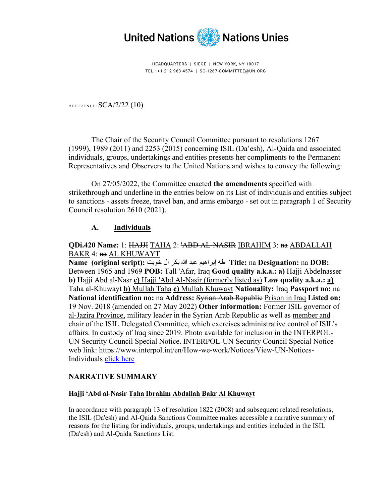

HEADQUARTERS | SIEGE | NEW YORK, NY 10017 TEL.: +1 212 963 4574 | SC-1267-COMMITTEE@UN.ORG

REFERENCE:  $SCA/2/22$  (10)

The Chair of the Security Council Committee pursuant to resolutions 1267 (1999), 1989 (2011) and 2253 (2015) concerning ISIL (Da'esh), Al-Qaida and associated individuals, groups, undertakings and entities presents her compliments to the Permanent Representatives and Observers to the United Nations and wishes to convey the following:

On 27/05/2022, the Committee enacted **the amendments** specified with strikethrough and underline in the entries below on its List of individuals and entities subject to sanctions - assets freeze, travel ban, and arms embargo - set out in paragraph 1 of Security Council resolution 2610 (2021).

## **A. Individuals**

#### **QDi.420 Name:** 1: HAJJI TAHA 2: 'ABD AL-NASIR IBRAHIM 3: na ABDALLAH BAKR 4: na AL KHUWAYT

**Name (original script):** خویت ال بكر الله عبد إبراھیم طھ **Title:** na **Designation:** na **DOB:** Between 1965 and 1969 **POB:** Tall 'Afar, Iraq **Good quality a.k.a.: a)** Hajji Abdelnasser **b)** Hajji Abd al-Nasr **c)** Hajji 'Abd Al-Nasir (formerly listed as) **Low quality a.k.a.: a)** Taha al-Khuwayt **b)** Mullah Taha **c)** Mullah Khuwayt **Nationality:** Iraq **Passport no:** na **National identification no:** na **Address:** Syrian Arab Republic Prison in Iraq **Listed on:** 19 Nov. 2018 (amended on 27 May 2022) **Other information:** Former ISIL governor of al-Jazira Province, military leader in the Syrian Arab Republic as well as member and chair of the ISIL Delegated Committee, which exercises administrative control of ISIL's affairs. In custody of Iraq since 2019. Photo available for inclusion in the INTERPOL-UN Security Council Special Notice. INTERPOL-UN Security Council Special Notice web link: https://www.interpol.int/en/How-we-work/Notices/View-UN-Notices-Individuals [click](https://www.interpol.int/en/How-we-work/Notices/View-UN-Notices-Individuals) here

#### **NARRATIVE SUMMARY**

#### **Hajji 'Abd al-Nasir Taha Ibrahim Abdallah Bakr Al Khuwayt**

In accordance with paragraph 13 of resolution 1822 (2008) and subsequent related resolutions, the ISIL (Da'esh) and Al-Qaida Sanctions Committee makes accessible a narrative summary of reasons for the listing for individuals, groups, undertakings and entities included in the ISIL (Da'esh) and Al-Qaida Sanctions List.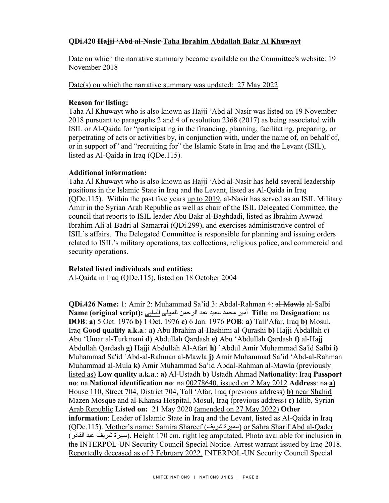# **QDi.420 Hajji 'Abd al-Nasir Taha Ibrahim Abdallah Bakr Al Khuwayt**

Date on which the narrative summary became available on the Committee's website: 19 November 2018

Date(s) on which the narrative summary was updated:27 May 2022

## **Reason for listing:**

Taha Al Khuwayt who is also known as Hajji 'Abd al-Nasir was listed on 19 November 2018 pursuant to paragraphs 2 and 4 of resolution 2368 (2017) as being associated with ISIL or Al-Qaida for "participating in the financing, planning, facilitating, preparing, or perpetrating of acts or activities by, in conjunction with, under the name of, on behalf of, or in support of" and "recruiting for" the Islamic State in Iraq and the Levant (ISIL), listed as Al-Qaida in Iraq (QDe.115).

## **Additional information:**

Taha Al Khuwayt who is also known as Hajji 'Abd al-Nasir has held several leadership positions in the Islamic State in Iraq and the Levant, listed as Al-Qaida in Iraq (QDe.115). Within the past five years up to 2019, al-Nasir has served as an ISIL Military Amir in the Syrian Arab Republic as well as chair of the ISIL Delegated Committee, the council that reports to ISIL leader Abu Bakr al-Baghdadi, listed as Ibrahim Awwad Ibrahim Ali al-Badri al-Samarrai (QDi.299), and exercises administrative control of ISIL's affairs. The Delegated Committee is responsible for planning and issuing orders related to ISIL's military operations, tax collections, religious police, and commercial and security operations.

## **Related listed individuals and entities:**

Al-Qaida in Iraq (QDe.115), listed on 18 October 2004

**QDi.426 Name:** 1: Amir 2: Muhammad Sa'id 3: Abdal-Rahman 4: al-Mawla al-Salbi na :**Designation** na :**Title** أمیر محمد سعید عبد الرحمن المولى السلبي **:(script original (Name DOB**: **a)** 5 Oct. 1976 **b)** 1 Oct. 1976 **c)** 6 Jan. 1976 **POB**: **a)** Tall'Afar, Iraq **b)** Mosul, Iraq **Good quality a.k.a**.: **a)** Abu Ibrahim al-Hashimi al-Qurashi **b)** Hajji Abdallah **c)** Abu 'Umar al-Turkmani **d)** Abdullah Qardash **e)** Abu 'Abdullah Qardash **f)** al-Hajj Abdullah Qardash **g)** Hajji Abdullah Al-Afari **h)** `Abdul Amir Muhammad Sa'id Salbi **i)** Muhammad Sa'id `Abd-al-Rahman al-Mawla **j)** Amir Muhammad Sa'id 'Abd-al-Rahman Muhammad al-Mula **k)** Amir Muhammad Sa'id Abdal-Rahman al-Mawla (previously listed as) **Low quality a.k.a**.: **a)** Al-Ustadh **b)** Ustadh Ahmad **Nationality**: Iraq **Passport no**: na **National identification no**:  $na$  00278640, issued on 2 May 2012 **Address**:  $na$ -a) House 110, Street 704, District 704, Tall 'Afar, Iraq (previous address) **b)** near Shahid Mazen Mosque and al-Khansa Hospital, Mosul, Iraq (previous address) **c)** Idlib, Syrian Arab Republic **Listed on:** 21 May 2020 (amended on 27 May 2022) **Other information**: Leader of Islamic State in Iraq and the Levant, listed as Al-Qaida in Iraq (QDe.115). Mother's name: Samira Shareef (شریف سمیرة (or Sahra Sharif Abd al-Qader (القادر عبد شریف سھرة(. Height 170 cm, right leg amputated. Photo available for inclusion in the INTERPOL-UN Security Council Special Notice. Arrest warrant issued by Iraq 2018. Reportedly deceased as of 3 February 2022. INTERPOL-UN Security Council Special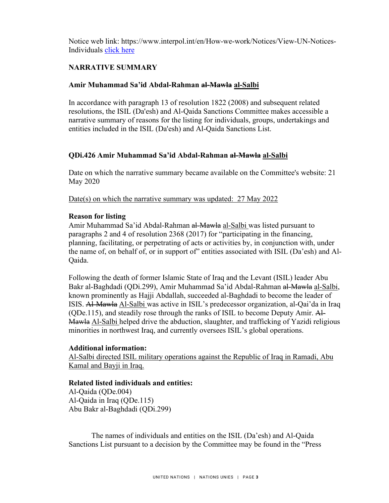Notice web link: https://www.interpol.int/en/How-we-work/Notices/View-UN-Notices-Individuals [click](https://www.interpol.int/en/How-we-work/Notices/View-UN-Notices-Individuals) here

# **NARRATIVE SUMMARY**

#### **Amir Muhammad Sa'id Abdal-Rahman al-Mawla al-Salbi**

In accordance with paragraph 13 of resolution 1822 (2008) and subsequent related resolutions, the ISIL (Da'esh) and Al-Qaida Sanctions Committee makes accessible a narrative summary of reasons for the listing for individuals, groups, undertakings and entities included in the ISIL (Da'esh) and Al-Qaida Sanctions List.

#### **QDi.426 Amir Muhammad Sa'id Abdal-Rahman al-Mawla al-Salbi**

Date on which the narrative summary became available on the Committee's website: 21 May 2020

Date(s) on which the narrative summary was updated:27 May 2022

#### **Reason for listing**

Amir Muhammad Sa'id Abdal-Rahman al-Mawla al-Salbi was listed pursuant to paragraphs 2 and 4 of resolution 2368 (2017) for "participating in the financing, planning, facilitating, or perpetrating of acts or activities by, in conjunction with, under the name of, on behalf of, or in support of" entities associated with ISIL (Da'esh) and Al-Qaida.

Following the death of former Islamic State of Iraq and the Levant (ISIL) leader Abu Bakr al-Baghdadi (QDi.299), Amir Muhammad Sa'id Abdal-Rahman al-Mawla al-Salbi, known prominently as Hajji Abdallah, succeeded al-Baghdadi to become the leader of ISIS. Al-Mawla Al-Salbi was active in ISIL's predecessor organization, al-Qai'da in Iraq (QDe.115), and steadily rose through the ranks of ISIL to become Deputy Amir. Al-Mawla Al-Salbi helped drive the abduction, slaughter, and trafficking of Yazidi religious minorities in northwest Iraq, and currently oversees ISIL's global operations.

#### **Additional information:**

Al-Salbi directed ISIL military operations against the Republic of Iraq in Ramadi, Abu Kamal and Bayji in Iraq.

## **Related listed individuals and entities:**

Al-Qaida (QDe.004) Al-Qaida in Iraq (QDe.115) Abu Bakr al-Baghdadi (QDi.299)

The names of individuals and entities on the ISIL (Da'esh) and Al-Qaida Sanctions List pursuant to a decision by the Committee may be found in the "Press